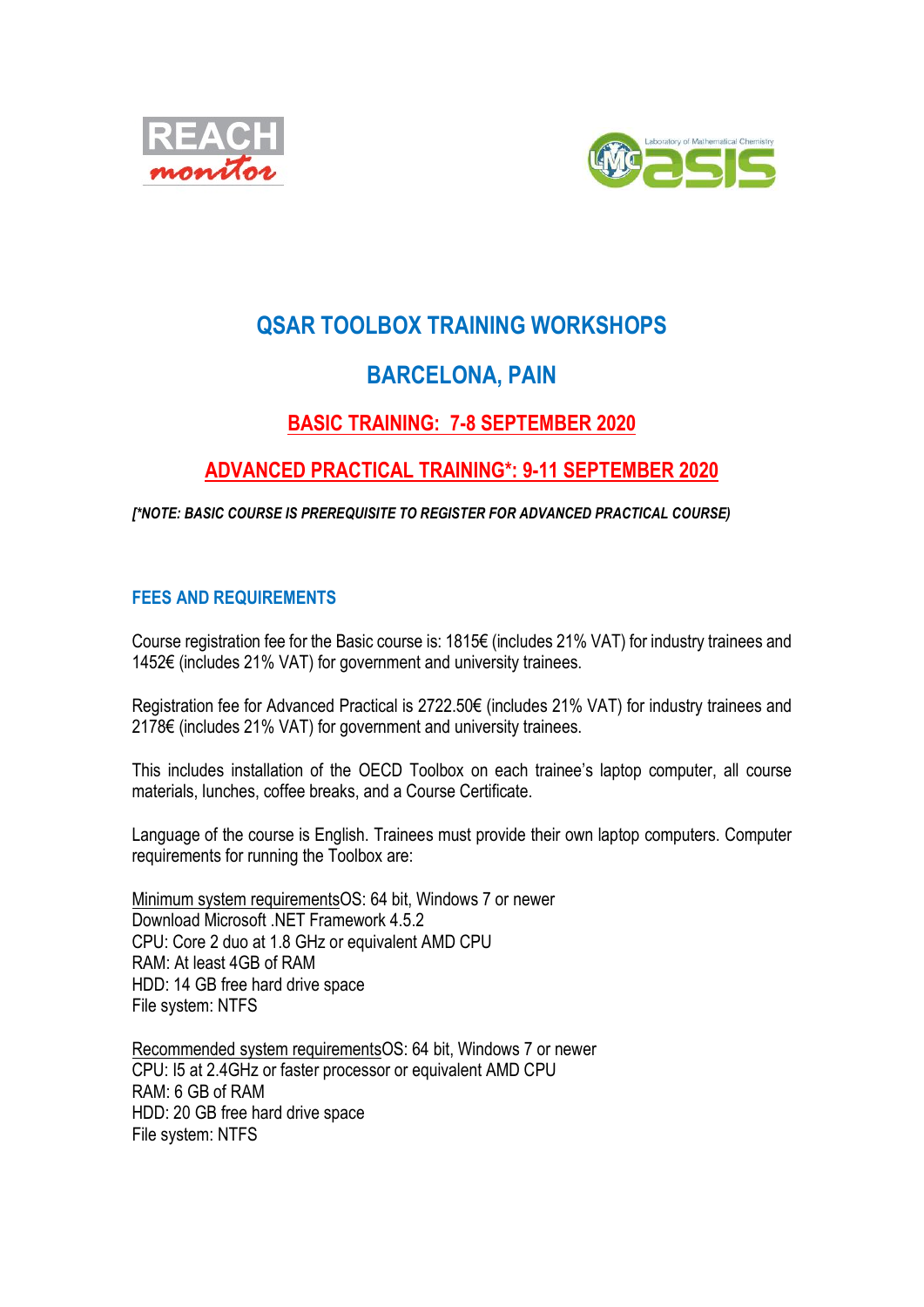



# QSAR TOOLBOX TRAINING WORKSHOPS

# BARCELONA, PAIN

## BASIC TRAINING: 7-8 SEPTEMBER 2020

## ADVANCED PRACTICAL TRAINING\*: 9-11 SEPTEMBER 2020

[\*NOTE: BASIC COURSE IS PREREQUISITE TO REGISTER FOR ADVANCED PRACTICAL COURSE)

### FEES AND REQUIREMENTS

Course registration fee for the Basic course is: 1815€ (includes 21% VAT) for industry trainees and 1452€ (includes 21% VAT) for government and university trainees.

Registration fee for Advanced Practical is 2722.50€ (includes 21% VAT) for industry trainees and 2178€ (includes 21% VAT) for government and university trainees.

This includes installation of the OECD Toolbox on each trainee's laptop computer, all course materials, lunches, coffee breaks, and a Course Certificate.

Language of the course is English. Trainees must provide their own laptop computers. Computer requirements for running the Toolbox are:

Minimum system requirementsOS: 64 bit, Windows 7 or newer Download Microsoft .NET Framework 4.5.2 CPU: Core 2 duo at 1.8 GHz or equivalent AMD CPU RAM: At least 4GB of RAM HDD: 14 GB free hard drive space File system: NTFS

Recommended system requirementsOS: 64 bit, Windows 7 or newer CPU: I5 at 2.4GHz or faster processor or equivalent AMD CPU RAM: 6 GB of RAM HDD: 20 GB free hard drive space File system: NTFS